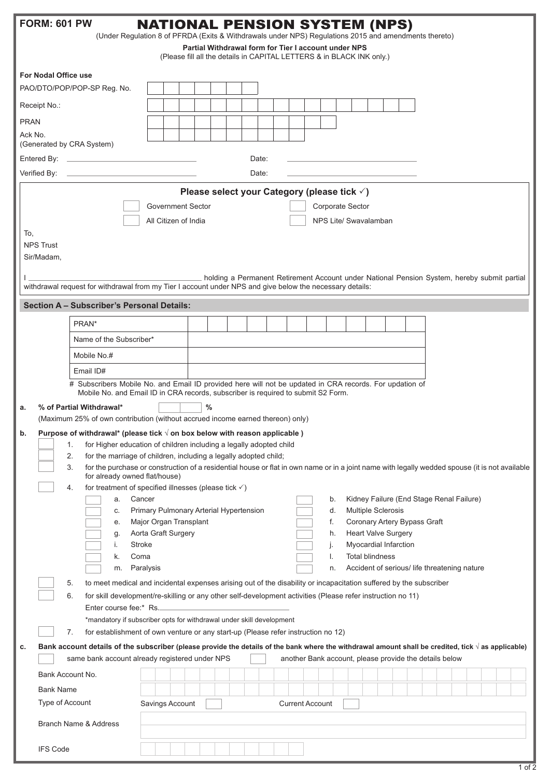|                                                                                                                               | <b>FORM: 601 PW</b>                                                                                                                                                                   |                                                                                                                                                                                                                                                   | <b>NATIONAL PENSION SYSTEM (NPS)</b>    |   |  |  |  |  |  |          |                       |                        |                              |                                                                                             |  |  |  |  |
|-------------------------------------------------------------------------------------------------------------------------------|---------------------------------------------------------------------------------------------------------------------------------------------------------------------------------------|---------------------------------------------------------------------------------------------------------------------------------------------------------------------------------------------------------------------------------------------------|-----------------------------------------|---|--|--|--|--|--|----------|-----------------------|------------------------|------------------------------|---------------------------------------------------------------------------------------------|--|--|--|--|
| (Under Regulation 8 of PFRDA (Exits & Withdrawals under NPS) Regulations 2015 and amendments thereto)                         |                                                                                                                                                                                       |                                                                                                                                                                                                                                                   |                                         |   |  |  |  |  |  |          |                       |                        |                              |                                                                                             |  |  |  |  |
| Partial Withdrawal form for Tier I account under NPS<br>(Please fill all the details in CAPITAL LETTERS & in BLACK INK only.) |                                                                                                                                                                                       |                                                                                                                                                                                                                                                   |                                         |   |  |  |  |  |  |          |                       |                        |                              |                                                                                             |  |  |  |  |
| <b>For Nodal Office use</b>                                                                                                   |                                                                                                                                                                                       |                                                                                                                                                                                                                                                   |                                         |   |  |  |  |  |  |          |                       |                        |                              |                                                                                             |  |  |  |  |
| PAO/DTO/POP/POP-SP Reg. No.                                                                                                   |                                                                                                                                                                                       |                                                                                                                                                                                                                                                   |                                         |   |  |  |  |  |  |          |                       |                        |                              |                                                                                             |  |  |  |  |
| Receipt No.:                                                                                                                  |                                                                                                                                                                                       |                                                                                                                                                                                                                                                   |                                         |   |  |  |  |  |  |          |                       |                        |                              |                                                                                             |  |  |  |  |
| <b>PRAN</b>                                                                                                                   |                                                                                                                                                                                       |                                                                                                                                                                                                                                                   |                                         |   |  |  |  |  |  |          |                       |                        |                              |                                                                                             |  |  |  |  |
| Ack No.                                                                                                                       |                                                                                                                                                                                       |                                                                                                                                                                                                                                                   |                                         |   |  |  |  |  |  |          |                       |                        |                              |                                                                                             |  |  |  |  |
|                                                                                                                               |                                                                                                                                                                                       | (Generated by CRA System)                                                                                                                                                                                                                         |                                         |   |  |  |  |  |  |          |                       |                        |                              |                                                                                             |  |  |  |  |
| Date:                                                                                                                         |                                                                                                                                                                                       |                                                                                                                                                                                                                                                   |                                         |   |  |  |  |  |  |          |                       |                        |                              |                                                                                             |  |  |  |  |
| Verified By:<br>Date:<br>the control of the control of the control of the control of the control of                           |                                                                                                                                                                                       |                                                                                                                                                                                                                                                   |                                         |   |  |  |  |  |  |          |                       |                        |                              |                                                                                             |  |  |  |  |
| Please select your Category (please tick √)                                                                                   |                                                                                                                                                                                       |                                                                                                                                                                                                                                                   |                                         |   |  |  |  |  |  |          |                       |                        |                              |                                                                                             |  |  |  |  |
| <b>Government Sector</b><br>Corporate Sector                                                                                  |                                                                                                                                                                                       |                                                                                                                                                                                                                                                   |                                         |   |  |  |  |  |  |          |                       |                        |                              |                                                                                             |  |  |  |  |
| To,                                                                                                                           |                                                                                                                                                                                       |                                                                                                                                                                                                                                                   | All Citizen of India                    |   |  |  |  |  |  |          | NPS Lite/ Swavalamban |                        |                              |                                                                                             |  |  |  |  |
|                                                                                                                               | <b>NPS Trust</b>                                                                                                                                                                      |                                                                                                                                                                                                                                                   |                                         |   |  |  |  |  |  |          |                       |                        |                              |                                                                                             |  |  |  |  |
|                                                                                                                               | Sir/Madam,                                                                                                                                                                            |                                                                                                                                                                                                                                                   |                                         |   |  |  |  |  |  |          |                       |                        |                              |                                                                                             |  |  |  |  |
|                                                                                                                               |                                                                                                                                                                                       |                                                                                                                                                                                                                                                   |                                         |   |  |  |  |  |  |          |                       |                        |                              | holding a Permanent Retirement Account under National Pension System, hereby submit partial |  |  |  |  |
|                                                                                                                               |                                                                                                                                                                                       | withdrawal request for withdrawal from my Tier I account under NPS and give below the necessary details:                                                                                                                                          |                                         |   |  |  |  |  |  |          |                       |                        |                              |                                                                                             |  |  |  |  |
|                                                                                                                               |                                                                                                                                                                                       | <b>Section A - Subscriber's Personal Details:</b>                                                                                                                                                                                                 |                                         |   |  |  |  |  |  |          |                       |                        |                              |                                                                                             |  |  |  |  |
|                                                                                                                               |                                                                                                                                                                                       | PRAN*                                                                                                                                                                                                                                             |                                         |   |  |  |  |  |  |          |                       |                        |                              |                                                                                             |  |  |  |  |
|                                                                                                                               |                                                                                                                                                                                       | Name of the Subscriber*                                                                                                                                                                                                                           |                                         |   |  |  |  |  |  |          |                       |                        |                              |                                                                                             |  |  |  |  |
|                                                                                                                               |                                                                                                                                                                                       | Mobile No.#                                                                                                                                                                                                                                       |                                         |   |  |  |  |  |  |          |                       |                        |                              |                                                                                             |  |  |  |  |
|                                                                                                                               |                                                                                                                                                                                       | Email ID#                                                                                                                                                                                                                                         |                                         |   |  |  |  |  |  |          |                       |                        |                              |                                                                                             |  |  |  |  |
|                                                                                                                               |                                                                                                                                                                                       | # Subscribers Mobile No. and Email ID provided here will not be updated in CRA records. For updation of                                                                                                                                           |                                         |   |  |  |  |  |  |          |                       |                        |                              |                                                                                             |  |  |  |  |
|                                                                                                                               |                                                                                                                                                                                       | Mobile No. and Email ID in CRA records, subscriber is required to submit S2 Form.                                                                                                                                                                 |                                         |   |  |  |  |  |  |          |                       |                        |                              |                                                                                             |  |  |  |  |
| a.                                                                                                                            |                                                                                                                                                                                       | % of Partial Withdrawal*<br>(Maximum 25% of own contribution (without accrued income earned thereon) only)                                                                                                                                        |                                         | % |  |  |  |  |  |          |                       |                        |                              |                                                                                             |  |  |  |  |
| b.                                                                                                                            |                                                                                                                                                                                       | Purpose of withdrawal* (please tick $\sqrt{ }$ on box below with reason applicable )                                                                                                                                                              |                                         |   |  |  |  |  |  |          |                       |                        |                              |                                                                                             |  |  |  |  |
|                                                                                                                               |                                                                                                                                                                                       | for Higher education of children including a legally adopted child<br>1.                                                                                                                                                                          |                                         |   |  |  |  |  |  |          |                       |                        |                              |                                                                                             |  |  |  |  |
|                                                                                                                               |                                                                                                                                                                                       | 2.<br>for the marriage of children, including a legally adopted child;                                                                                                                                                                            |                                         |   |  |  |  |  |  |          |                       |                        |                              |                                                                                             |  |  |  |  |
|                                                                                                                               | for the purchase or construction of a residential house or flat in own name or in a joint name with legally wedded spouse (it is not available<br>3.<br>for already owned flat/house) |                                                                                                                                                                                                                                                   |                                         |   |  |  |  |  |  |          |                       |                        |                              |                                                                                             |  |  |  |  |
|                                                                                                                               |                                                                                                                                                                                       | for treatment of specified illnesses (please tick $\checkmark$ )<br>4.<br>Cancer                                                                                                                                                                  |                                         |   |  |  |  |  |  |          |                       |                        |                              |                                                                                             |  |  |  |  |
|                                                                                                                               |                                                                                                                                                                                       | a.<br>c.                                                                                                                                                                                                                                          | Primary Pulmonary Arterial Hypertension |   |  |  |  |  |  | b.<br>d. |                       | Multiple Sclerosis     |                              | Kidney Failure (End Stage Renal Failure)                                                    |  |  |  |  |
|                                                                                                                               |                                                                                                                                                                                       | е.                                                                                                                                                                                                                                                | Major Organ Transplant                  |   |  |  |  |  |  | f.       |                       |                        | Coronary Artery Bypass Graft |                                                                                             |  |  |  |  |
|                                                                                                                               |                                                                                                                                                                                       | g.                                                                                                                                                                                                                                                | Aorta Graft Surgery                     |   |  |  |  |  |  | h.       |                       |                        | <b>Heart Valve Surgery</b>   |                                                                                             |  |  |  |  |
|                                                                                                                               |                                                                                                                                                                                       | <b>Stroke</b><br>i.<br>Coma<br>k.                                                                                                                                                                                                                 |                                         |   |  |  |  |  |  | j.<br>I. |                       | <b>Total blindness</b> | Myocardial Infarction        |                                                                                             |  |  |  |  |
|                                                                                                                               |                                                                                                                                                                                       | m.                                                                                                                                                                                                                                                | Paralysis                               |   |  |  |  |  |  | n.       |                       |                        |                              | Accident of serious/ life threatening nature                                                |  |  |  |  |
|                                                                                                                               |                                                                                                                                                                                       | to meet medical and incidental expenses arising out of the disability or incapacitation suffered by the subscriber<br>5.                                                                                                                          |                                         |   |  |  |  |  |  |          |                       |                        |                              |                                                                                             |  |  |  |  |
|                                                                                                                               |                                                                                                                                                                                       | for skill development/re-skilling or any other self-development activities (Please refer instruction no 11)<br>6.                                                                                                                                 |                                         |   |  |  |  |  |  |          |                       |                        |                              |                                                                                             |  |  |  |  |
|                                                                                                                               |                                                                                                                                                                                       | Enter course fee:* Rs.                                                                                                                                                                                                                            |                                         |   |  |  |  |  |  |          |                       |                        |                              |                                                                                             |  |  |  |  |
|                                                                                                                               |                                                                                                                                                                                       | *mandatory if subscriber opts for withdrawal under skill development<br>7.                                                                                                                                                                        |                                         |   |  |  |  |  |  |          |                       |                        |                              |                                                                                             |  |  |  |  |
| c.                                                                                                                            |                                                                                                                                                                                       | for establishment of own venture or any start-up (Please refer instruction no 12)<br>Bank account details of the subscriber (please provide the details of the bank where the withdrawal amount shall be credited, tick $\sqrt{ }$ as applicable) |                                         |   |  |  |  |  |  |          |                       |                        |                              |                                                                                             |  |  |  |  |
|                                                                                                                               |                                                                                                                                                                                       | same bank account already registered under NPS                                                                                                                                                                                                    |                                         |   |  |  |  |  |  |          |                       |                        |                              | another Bank account, please provide the details below                                      |  |  |  |  |
|                                                                                                                               | Bank Account No.                                                                                                                                                                      |                                                                                                                                                                                                                                                   |                                         |   |  |  |  |  |  |          |                       |                        |                              |                                                                                             |  |  |  |  |
|                                                                                                                               | <b>Bank Name</b>                                                                                                                                                                      |                                                                                                                                                                                                                                                   |                                         |   |  |  |  |  |  |          |                       |                        |                              |                                                                                             |  |  |  |  |
| Type of Account<br>Savings Account<br><b>Current Account</b>                                                                  |                                                                                                                                                                                       |                                                                                                                                                                                                                                                   |                                         |   |  |  |  |  |  |          |                       |                        |                              |                                                                                             |  |  |  |  |
| Branch Name & Address                                                                                                         |                                                                                                                                                                                       |                                                                                                                                                                                                                                                   |                                         |   |  |  |  |  |  |          |                       |                        |                              |                                                                                             |  |  |  |  |
|                                                                                                                               | <b>IFS Code</b>                                                                                                                                                                       |                                                                                                                                                                                                                                                   |                                         |   |  |  |  |  |  |          |                       |                        |                              |                                                                                             |  |  |  |  |

1 of 2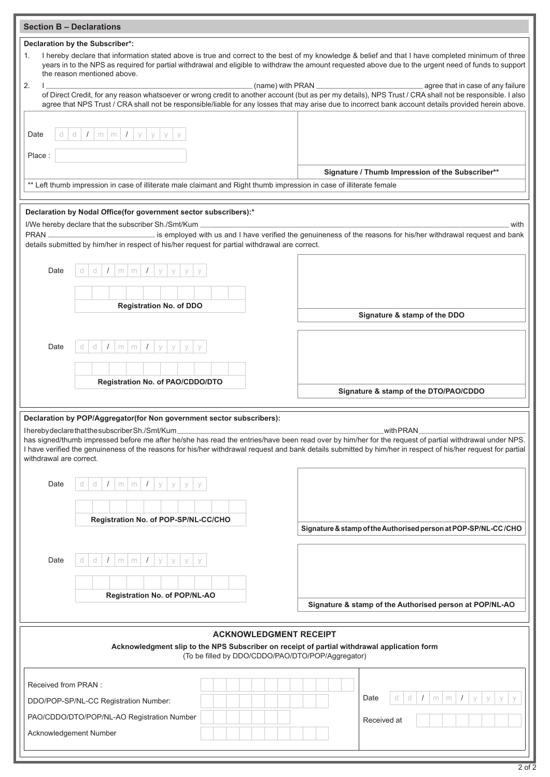| <b>Section B - Declarations</b>                                                                                                                                                                                                                                                                                                                                                                                |                                                                                                                                                                                                                                   |                                                                                                                                                       |  |  |  |  |  |  |
|----------------------------------------------------------------------------------------------------------------------------------------------------------------------------------------------------------------------------------------------------------------------------------------------------------------------------------------------------------------------------------------------------------------|-----------------------------------------------------------------------------------------------------------------------------------------------------------------------------------------------------------------------------------|-------------------------------------------------------------------------------------------------------------------------------------------------------|--|--|--|--|--|--|
| Declaration by the Subscriber*:                                                                                                                                                                                                                                                                                                                                                                                |                                                                                                                                                                                                                                   |                                                                                                                                                       |  |  |  |  |  |  |
| I hereby declare that information stated above is true and correct to the best of my knowledge & belief and that I have completed minimum of three<br>1.<br>years in to the NPS as required for partial withdrawal and eligible to withdraw the amount requested above due to the urgent need of funds to support<br>the reason mentioned above.                                                               |                                                                                                                                                                                                                                   |                                                                                                                                                       |  |  |  |  |  |  |
| 2.                                                                                                                                                                                                                                                                                                                                                                                                             | $(name)$ with PRAN $\frac{1}{2}$<br>agree that in case of any failure<br>of Direct Credit, for any reason whatsoever or wrong credit to another account (but as per my details), NPS Trust / CRA shall not be responsible. I also |                                                                                                                                                       |  |  |  |  |  |  |
|                                                                                                                                                                                                                                                                                                                                                                                                                |                                                                                                                                                                                                                                   | agree that NPS Trust / CRA shall not be responsible/liable for any losses that may arise due to incorrect bank account details provided herein above. |  |  |  |  |  |  |
| Date                                                                                                                                                                                                                                                                                                                                                                                                           | $m \mid m \mid I$<br>d<br>$\sqrt{2}$<br>У<br>У                                                                                                                                                                                    |                                                                                                                                                       |  |  |  |  |  |  |
| Place:                                                                                                                                                                                                                                                                                                                                                                                                         |                                                                                                                                                                                                                                   | Signature / Thumb Impression of the Subscriber**                                                                                                      |  |  |  |  |  |  |
|                                                                                                                                                                                                                                                                                                                                                                                                                | ** Left thumb impression in case of illiterate male claimant and Right thumb impression in case of illiterate female                                                                                                              |                                                                                                                                                       |  |  |  |  |  |  |
|                                                                                                                                                                                                                                                                                                                                                                                                                |                                                                                                                                                                                                                                   |                                                                                                                                                       |  |  |  |  |  |  |
|                                                                                                                                                                                                                                                                                                                                                                                                                | Declaration by Nodal Office(for government sector subscribers):*<br>I/We hereby declare that the subscriber Sh./Smt/Kum .                                                                                                         | with                                                                                                                                                  |  |  |  |  |  |  |
| is employed with us and I have verified the genuineness of the reasons for his/her withdrawal request and bank<br>details submitted by him/her in respect of his/her request for partial withdrawal are correct.                                                                                                                                                                                               |                                                                                                                                                                                                                                   |                                                                                                                                                       |  |  |  |  |  |  |
| Date                                                                                                                                                                                                                                                                                                                                                                                                           | d<br>$\prime$<br>$m \mid m$<br>$\sqrt{ }$<br>V<br>V                                                                                                                                                                               |                                                                                                                                                       |  |  |  |  |  |  |
|                                                                                                                                                                                                                                                                                                                                                                                                                |                                                                                                                                                                                                                                   |                                                                                                                                                       |  |  |  |  |  |  |
|                                                                                                                                                                                                                                                                                                                                                                                                                | <b>Registration No. of DDO</b>                                                                                                                                                                                                    | Signature & stamp of the DDO                                                                                                                          |  |  |  |  |  |  |
|                                                                                                                                                                                                                                                                                                                                                                                                                |                                                                                                                                                                                                                                   |                                                                                                                                                       |  |  |  |  |  |  |
| Date                                                                                                                                                                                                                                                                                                                                                                                                           | d<br>$\prime$<br>$m \mid m$<br>$\sqrt{ }$<br>У<br>У                                                                                                                                                                               |                                                                                                                                                       |  |  |  |  |  |  |
|                                                                                                                                                                                                                                                                                                                                                                                                                |                                                                                                                                                                                                                                   |                                                                                                                                                       |  |  |  |  |  |  |
|                                                                                                                                                                                                                                                                                                                                                                                                                | Registration No. of PAO/CDDO/DTO                                                                                                                                                                                                  | Signature & stamp of the DTO/PAO/CDDO                                                                                                                 |  |  |  |  |  |  |
|                                                                                                                                                                                                                                                                                                                                                                                                                | Declaration by POP/Aggregator(for Non government sector subscribers):                                                                                                                                                             |                                                                                                                                                       |  |  |  |  |  |  |
| IherebydeclarethatthesubscriberSh./Smt/Kum.<br>with PRAN<br>has signed/thumb impressed before me after he/she has read the entries/have been read over by him/her for the request of partial withdrawal under NPS.<br>I have verified the genuineness of the reasons for his/her withdrawal request and bank details submitted by him/her in respect of his/her request for partial<br>withdrawal are correct. |                                                                                                                                                                                                                                   |                                                                                                                                                       |  |  |  |  |  |  |
| Date                                                                                                                                                                                                                                                                                                                                                                                                           | $m \mid m$<br>$\frac{1}{2}$<br>У<br>$\prime$<br>У<br>d                                                                                                                                                                            |                                                                                                                                                       |  |  |  |  |  |  |
|                                                                                                                                                                                                                                                                                                                                                                                                                |                                                                                                                                                                                                                                   |                                                                                                                                                       |  |  |  |  |  |  |
|                                                                                                                                                                                                                                                                                                                                                                                                                | Registration No. of POP-SP/NL-CC/CHO                                                                                                                                                                                              | Signature & stamp of the Authorised person at POP-SP/NL-CC/CHO                                                                                        |  |  |  |  |  |  |
|                                                                                                                                                                                                                                                                                                                                                                                                                |                                                                                                                                                                                                                                   |                                                                                                                                                       |  |  |  |  |  |  |
| Date                                                                                                                                                                                                                                                                                                                                                                                                           | d<br>$\prime$<br>$\prime$<br>m<br>m<br>y                                                                                                                                                                                          |                                                                                                                                                       |  |  |  |  |  |  |
|                                                                                                                                                                                                                                                                                                                                                                                                                |                                                                                                                                                                                                                                   |                                                                                                                                                       |  |  |  |  |  |  |
|                                                                                                                                                                                                                                                                                                                                                                                                                | Registration No. of POP/NL-AO                                                                                                                                                                                                     | Signature & stamp of the Authorised person at POP/NL-AO                                                                                               |  |  |  |  |  |  |
|                                                                                                                                                                                                                                                                                                                                                                                                                |                                                                                                                                                                                                                                   |                                                                                                                                                       |  |  |  |  |  |  |
| <b>ACKNOWLEDGMENT RECEIPT</b><br>Acknowledgment slip to the NPS Subscriber on receipt of partial withdrawal application form<br>(To be filled by DDO/CDDO/PAO/DTO/POP/Aggregator)                                                                                                                                                                                                                              |                                                                                                                                                                                                                                   |                                                                                                                                                       |  |  |  |  |  |  |
| Received from PRAN :                                                                                                                                                                                                                                                                                                                                                                                           |                                                                                                                                                                                                                                   |                                                                                                                                                       |  |  |  |  |  |  |
|                                                                                                                                                                                                                                                                                                                                                                                                                | DDO/POP-SP/NL-CC Registration Number:                                                                                                                                                                                             | d<br>$\prime$<br>Date<br>d<br>$\prime$<br>m<br>V<br>m                                                                                                 |  |  |  |  |  |  |
|                                                                                                                                                                                                                                                                                                                                                                                                                | PAO/CDDO/DTO/POP/NL-AO Registration Number                                                                                                                                                                                        | Received at                                                                                                                                           |  |  |  |  |  |  |
|                                                                                                                                                                                                                                                                                                                                                                                                                | Acknowledgement Number                                                                                                                                                                                                            |                                                                                                                                                       |  |  |  |  |  |  |
|                                                                                                                                                                                                                                                                                                                                                                                                                |                                                                                                                                                                                                                                   |                                                                                                                                                       |  |  |  |  |  |  |